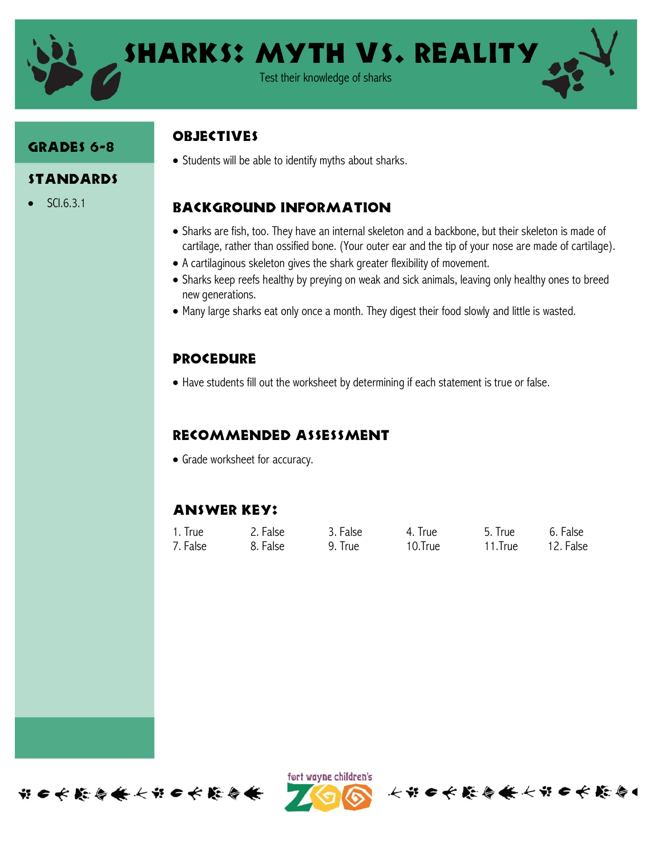

# Sharks: Myth vs. Reality

Test their knowledge of sharks

## GRADES 6-8

#### Standards

SCI.6.3.1

# **OBJECTIVES**

• Students will be able to identify myths about sharks.

## Background information

- Sharks are fish, too. They have an internal skeleton and a backbone, but their skeleton is made of cartilage, rather than ossified bone. (Your outer ear and the tip of your nose are made of cartilage).
- A cartilaginous skeleton gives the shark greater flexibility of movement.
- Sharks keep reefs healthy by preying on weak and sick animals, leaving only healthy ones to breed new generations.
- Many large sharks eat only once a month. They digest their food slowly and little is wasted.

#### **PROCEDURE**

Have students fill out the worksheet by determining if each statement is true or false.

#### Recommended assessment

• Grade worksheet for accuracy.

## Answer Key:

| 1. True  | 2. False | 3. False | 4. True | 5. True | 6. False  |
|----------|----------|----------|---------|---------|-----------|
| 7. False | 8. False | 9. True  | 10.True | 11.True | 12. False |

ert wayne children's



个的日女能会条人的日女能会